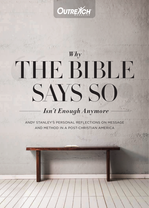

# THE BIBLE SAYS SO *Why*

## *Isn't Enough Anymore*

ANDY STANLEY'S PERSONAL REFLECTIONS ON MESSAGE AND METHOD IN A POST-CHRISTIAN AMERICA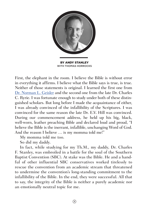

First, the elephant in the room. I believe the Bible is without error in everything it affirms. I believe what the Bible says is true, is true. Neither of those statements is original. I learned the first one from [Dr. Norman L. Geisler](http://normangeisler.com/) and the second one from the late Dr. Charles C. Ryrie. I was fortunate enough to study under both of these distinguished scholars. But long before I made the acquaintance of either, I was already convinced of the infallibility of the Scriptures. I was convinced for the same reason the late Dr. E.V. Hill was convinced. During our commencement address, he held up his big, black, well-worn, leather preaching Bible and declared loud and proud, "I believe the Bible is the inerrant, infallible, unchanging Word of God. And the reason I believe … is my momma told me!"

My momma told me too.

So did my daddy.

In fact, while studying for my Th.M., my daddy, Dr. Charles F. Stanley, was embroiled in a battle for the soul of the Southern Baptist Convention (SBC). At stake was the Bible. He and a handful of other influential SBC conservatives worked tirelessly to rescue the convention from an academic stream that threatened to undermine the convention's long-standing commitment to the infallibility of the Bible. In the end, they were successful. All that to say, the integrity of the Bible is neither a purely academic nor an emotionally neutral topic for me.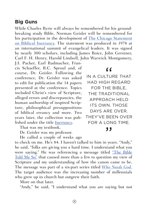### **Big Guns**

While Charles Ryrie will always be remembered for his groundbreaking study Bible, Norman Geisler will be remembered for his participation in the development of [The Chicago Statement](http://www.bible-researcher.com/chicago1.html)  [on Biblical Inerrancy](http://www.bible-researcher.com/chicago1.html). The statement was produced in 1978 at an international summit of evangelical leaders. It was signed by nearly 300 scholars, including James Boice, John Gerstner, Carl F. H. Henry, Harold Lindsell, John Warwick Montgomery,

J.I. Packer, Earl Radmacher, Francis Schaeffer, R.C. Sproul and, of course, Dr. Geisler. Following the conference, Dr. Geisler was asked to edit for publication the 14 papers presented at the conference. Topics included Christ's view of Scripture, alleged errors and discrepancies, the human authorship of inspired Scripture, philosophical presuppositions of biblical errancy and more. Two years later, the collection was published under the title *[Inerrancy](https://www.amazon.com/Inerrancy-Norman-L-Geisler/dp/0310392810/ref=as_li_ss_tl?ie=UTF8&linkCode=sl1&tag=outremagaz-20&linkId=a056e2e7360a64e684d551eb8004c5da)*.

That was my textbook.

Dr. Geisler was my professor.

He called a couple of weeks ago

to check on me. He's 84. I haven't talked to him in years. "Andy," he said, "folks are giving you a hard time. I understand what you were saying." He was referencing a message titled "The Bible [Told Me So"](http://whoneedsgod.com/message-gallery/2016/9/1/who-needs-god-part-3) that caused more than a few to question my view of Scripture and my understanding of how the canon came to be. The message was part of a six-part series titled *[Who Needs God.](http://whoneedsgod.com/)* The target audience was the increasing number of millennials who grew up in church but outgrew their faith.

More on that later.

"Andy," he said, "I understand what you are saying but not

IN A CULTURE THAT  $\begin{array}{c}\n66 \\
T \cup \n\end{array}$ HAD HIGH REGARD FOR THE BIBLE, THE TRADITIONAL APPROACH HELD ITS OWN. THOSE DAYS ARE OVER. THEY'VE BEEN OVER FOR A LONG TIME.

### "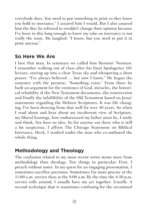everybody does. You need to put something in print so *they* know you hold to inerrancy." I assured him I would. But I also assured him the *they* he referred to wouldn't change their opinion because I've been in this long enough to know my take on inerrancy is not really the issue. He laughed. "I know, but you need to put it in print anyway."

### **So Here We Are**

I love that man. In seminary we called him Stormin' Norman. I remember walking out of class after his final Apologetics 101 lecture, staring up into a clear Texas sky and whispering a short prayer: "I've always believed … but now I know." He began the semester with the premise, *"Something exists."* From there he built an argument for the existence of God, miracles, the historical reliability of the New Testament documents, the resurrection and finally the infallibility of the Old Testament based on Jesus' statements regarding the Hebrew Scriptures. It was life changing. I've been drawing from that well for over 30 years. So when I read about and hear about my incoherent view of Scripture, my liberal leanings, how embarrassed my father must be, I smile and think, *You have no idea*. So for anyone out there who is still a bit suspicious, I affirm The Chicago Statement on Biblical Inerrancy. Heck, I studied under the man who co-authored the whole thing.

### **Methodology and Theology**

The confusion related to my most recent series stems more from methodology than theology. Two things in particular. First, I preach without notes. In my quest for an engaging presentation, I sometimes sacrifice precision. Sometimes I'm more precise at the 11:00 a.m. service than at the 9:00 a.m. By the time the 4:30 p.m. service rolls around, I usually have my act together. Usually. A second technique that is sometimes confusing for the occasional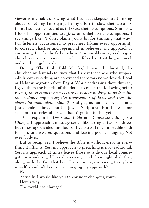viewer is my habit of saying what I suspect skeptics are thinking about something I'm saying. In my effort to state their assumptions, I sometimes sound as if I *share* their assumptions. Similarly, I look for opportunities to *affirm* an unbeliever's assumptions. I say things like, "I don't blame you a bit for thinking that way." For listeners accustomed to preachers taking every opportunity to correct, chastise and reprimand unbelievers, my approach is confusing. But for the father whose 23-year-old son agreed to give church one more chance … well … folks like that hug my neck and send me gift cards.

During "The Bible Told Me So," I wanted educated, dechurched millennials to know that I knew that those who supposedly know everything are convinced there was no worldwide flood or Hebrew migration from Egypt. While addressing them directly, I gave them the benefit of the doubt to make the following point: *Even if those events never occurred, it does nothing to undermine the evidence supporting the resurrection of Jesus and thus the claims he made about himself.* And yes, as noted above, I know Jesus made claims about the Jewish Scriptures. But this was one sermon in a series of six … I hadn't gotten to that yet.

 As I explain in *Deep and Wide* and *Communicating for a Change*, I approach a message series like a single, two- or threehour message divided into four or five parts. I'm comfortable with tension, unanswered questions and leaving people hanging. Not everybody is.

But to recap, yes, I believe the Bible is without error in everything it affirms. Yes, my approach to preaching is not traditional. Yes, my approach at times leaves those outside our local congregations wondering if I'm still an evangelical. So in light of all that, along with the fact that here I am once again having to explain myself, shouldn't I consider changing my approach?

No.

Actually, I would like you to consider changing yours.

Here's why.

The world has changed.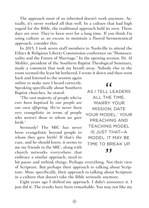The approach most of us inherited doesn't work anymore. Actually, it's never worked all that well. In a culture that had high regard for the Bible, the traditional approach held its own. Those days are over. They've been over for a long time. If you think I'm using culture as an excuse to maintain a flawed hermeneutical approach, consider this.

In 2015, I took seven staff members to Nashville to attend the Ethics & Religious Liberty Commission conference on "Homosexuality and the Future of Marriage." In the opening session, Dr. Al Mohler, president of the Southern Baptist Theological Seminary, made a comment that took my breath away. Nobody else in the room seemed the least bit bothered. I wrote it down and then went

back and listened to the session again online to make sure I heard correctly. Speaking specifically about Southern Baptist churches, he stated:

*"The vast majority of people who've ever been baptized by our people are our own offspring. We've never been very evangelistic in terms of people who weren't those to whom we gave birth."*

Seriously? The SBC has never been evangelistic beyond people to whom they gave birth? If that's the case, and he should know, it seems to me my friends in the SBC, along with church networks everywhere that embrace a similar approach, need to me my friends in the SBC, along with<br>
church networks everywhere that<br>
embrace a similar approach, need to<br>
hit pause and rethink things. Perhaps everything. Not their view

AS I TELL LEADERS  $\begin{array}{c}\n66 \\
L \\
L\n\end{array}$ ALL THE TIME, 'MARRY YOUR MISSION; DATE YOUR MODEL.' YOUR PREACHING AND TEACHING MODEL IS JUST THAT—A MODEL. IT MAY BE TIME TO BREAK UP.

of Scripture. But perhaps their approach to talking about Scripture. More specifically, their approach to talking about Scripture in a culture that doesn't take the Bible seriously anymore.

Eight years ago I shifted my approach. I didn't announce it. I just did it. The results have been remarkable. You may not like my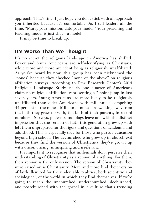approach. That's fine. I just hope you don't stick with an approach you inherited because it's comfortable. As I tell leaders all the time, "Marry your mission; date your model." Your preaching and teaching model is just that—a model.

It may be time to break up.

### **It's Worse Than We Thought**

It's no secret the religious landscape in America has shifted. Fewer and fewer Americans are self-identifying as Christians, while more and more are identifying as religiously unaffiliated. As you've heard by now, this group has been nicknamed the "nones" because they checked "none of the above" on religious affiliation surveys. According to Pew Research Center's 2014 Religious Landscape Study, nearly one quarter of Americans claim no religious affiliation, representing a 7-point jump in just seven years. Young Americans are more likely to be religiously unaffiliated than older Americans with millennials comprising 44 percent of the nones. Millennial nones are walking away from the faith they grew up with, the faith of their parents, in record numbers.<sup>1</sup> Surveys, podcasts and blogs leave one with the distinct impression that the version of faith this generation grew up with left them unprepared for the rigors and questions of academia and adulthood. This is especially true for those who pursue education beyond high school. The dechurched who grew up in church exit because they find the version of Christianity they've grown up with unconvincing, uninspiring and irrelevant.

It's important to recognize that millennials don't perceive their understanding of Christianity as a version of anything. For them, their version is the only version. The version of Christianity they were raised on is Christianity. More and more find their version of faith ill-suited for the undeniable realities, both scientific and sociological, of the world in which they find themselves. If we're going to reach the unchurched, underchurched, dechurched, and postchurched with the gospel in a culture that's trending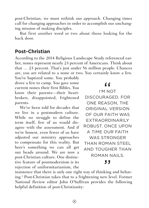post-Christian, we must rethink our *approach*. Changing times call for changing approaches in order to accomplish our unchanging mission of making disciples.

But first another word or two about those looking for the back door.

### **Post-Christian**

According to the 2014 Religious Landscape Study referenced earlier, nones represent nearly 23 percent of Americans. Think about that … 23 percent. That's just under 56 million people. Chances are, you are related to a none or two. You certainly know a few.

You've baptized some. You probably drove a few to camp. You gave some current nones their first Bibles. You know their parents—their heartbroken, disappointed, frightened parents.

We've been told for decades that we live in a postmodern culture. While we struggle to define the term itself, few of us would disagree with the assessment. And if we're honest, even fewer of us have adjusted our ministry approaches to compensate for this reality. But here's something we can all get our heads around. We are now a post-Christian culture. One distinctive feature of postmodernism is its rejection of uniformitarianism, the ive feature of postmodernism is its<br>rejection of uniformitarianism, the<br>insistence that there is only one right way of thinking and behav-

I'M NOT  $^{\bullet}$ DISCOURAGED. FOR ONE REASON, THE ORIGINAL VERSION OF OUR FAITH WAS EXTRAORDINARILY ROBUST. ONCE UPON A TIME OUR FAITH WAS STRONGER THAN ROMAN STEEL AND TOUGHER THAN ROMAN NAILS.

ing.2 Post-Christian takes that to a frightening new level. Former *National Review* editor John O'Sullivan provides the following helpful definition of post-Christianity: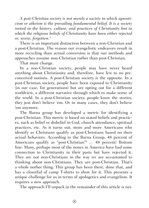*A post-Christian society is not merely a society in which agnosticism or atheism is the prevailing fundamental belief. It is a society rooted in the history, culture, and practices of Christianity but in which the religious beliefs of Christianity have been either rejected or, worse, forgotten.3*

There is an important distinction between a non-Christian and a post-Christian. The reason our evangelistic endeavors result in more recycling than actual conversion is that our methods and approaches assume non-Christian rather than post-Christian.

That must change.

In a non-Christian society, people may have never heard anything about Christianity and, therefore, have few to no preconceived notions. A post-Christian society is the opposite. In a post-Christian society, people have been exposed to Christianity (in our case, for generations) but are opting out for a different worldview, a different narrative through which to make sense of the world. In a post-Christian society, people know the stories; they just don't believe 'em. Or in many cases, they don't believe 'em anymore.

The Barna group has developed a metric for identifying a post-Christian. This metric is based on stated beliefs and practices, such as belief or disbelief in God, church attendance, spiritual practices, etc. As it turns out, more and more Americans who identify as Christians qualify as post-Christians based on their actual behaviors. According to the Barna Group, 48 percent of Americans qualify as "post-Christian"4 … 48 percent! Bottom line: Many, perhaps most of the nones in America have had some connection to Christianity in their pasts but have rejected it. They are not non-Christians in the way we are accustomed to thinking about non-Christians. They are post-Christian. That's a whole nother thing. This group has been there, done that, and has a closetful of camp T-shirts to show for it. This presents a unique challenge for us in terms of apologetics and evangelism. It requires a new approach.

The approach I'll unpack in the remainder of this article is nei-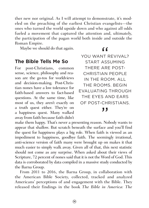ther new nor original. As I will attempt to demonstrate, it's modeled on the preaching of the earliest Christian evangelists—the ones who turned the world upside down and who against all odds fueled a movement that captured the attention and, ultimately, the participation of the pagan world both inside and outside the Roman Empire.

Maybe we should do that again.

### **The Bible Tells Me So**

For post-Christians, common sense, science, philosophy and reason are the go-tos for worldviews and decision-making. Post-Christian nones have a low tolerance for faith-based answers to fact-based questions. At the same time, like most of us, they aren't exactly on a truth quest either. They're on a happiness quest. Many walked away from faith because faith didn't

### "

YOU WANT REVIVAL? START ASSUMING THERE ARE POST-CHRISTIAN PEOPLE IN THE ROOM. ALL THE ROOMS. BEGIN EVALUATING THROUGH THE EYES AND EARS OF POST-CHRISTIANS.

,,

make them happy. That's never a presenting reason. Nobody wants to appear that shallow. But scratch beneath the surface and you'll find the quest for happiness plays a big role. When faith is viewed as an impediment to happiness, goodbye faith. The seemingly irrational, anti-science version of faith many were brought up on makes it that much easier to simply walk away. Given all of that, this next statistic should not come as any surprise. When asked about their views of Scripture, 72 percent of nones said that it is not the Word of God. This data is corroborated by data compiled in a massive study conducted by the Barna Group.

From 2011 to 2016, the Barna Group, in collaboration with the American Bible Society, collected, tracked and analyzed Americans' perceptions of and engagement with the Bible. They released their findings in the book *The Bible in America: The*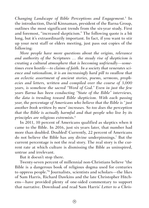*Changing Landscape of Bible Perceptions and Engagement.5* In the introduction, David Kinnaman, president of the Barna Group, outlines the most significant trends from the six-year study. First and foremost, "increased skepticism." The following quote is a bit long, but it's extraordinarily important. In fact, if you want to stir up your next staff or elders meeting, just pass out copies of the following:

*More people have more questions about the origins, relevance and authority of the Scriptures … the steady rise of skepticism is creating a cultural atmosphere that is becoming unfriendly—sometimes even hostile—to claims of faith. In a society that venerates science and rationalism, it is an increasingly hard pill to swallow that an eclectic assortment of ancient stories, poems, sermons, prophecies and letters, written and compiled over the course of 3,000 years, is somehow the sacred "Word of God." Even in just the few years Barna has been conducting "State of the Bible" interviews, the data is trending toward Bible skepticism. With each passing year, the percentage of Americans who believe that the Bible is "just another book written by men" increases. So too does the perception that the Bible is actually harmful and that people who live by its principles are religious extremists.6*

In 2011, 10 percent of Americans qualified as skeptics when it came to the Bible. In 2016, just six years later, that number had more than doubled. Doubled! Currently, 22 percent of Americans do not believe the Bible has any divine underpinnings.7 But the current percentage is not the real story. The real story is the current rate at which culture is dismissing the Bible as uninspired, untrue and irrelevant.

But it doesn't stop there.

Twenty-seven percent of millennial non-Christians believe "the Bible is a dangerous book of religious dogma used for centuries to oppress people."8 Journalists, scientists and scholars—the likes of Sam Harris, Richard Dawkins and the late Christopher Hitchens—have provided plenty of one-sided commentary to support that narrative. Download and read Sam Harris' *Letter to a Chris-*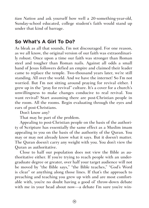*tian Nation* and ask yourself how well a 20-something-year-old, Sunday-school educated, college student's faith would stand up under that kind of barrage.

### **So What's A Girl To Do?**

As bleak as all that sounds, I'm not discouraged. For one reason, as we all know, the original version of our faith was extraordinarily robust. Once upon a time our faith was stronger than Roman steel and tougher than Roman nails. Against all odds a small band of Jesus followers defied an empire and claimed their leader came to replace the temple. Two-thousand years later, we're still standing. All over the world. And we have the internet! So I'm not worried. But I'm not sitting around praying for revival either. I grew up in the "pray for revival" culture. It's a cover for a church's unwillingness to make changes conducive to real revival. You want revival? Start assuming there are post-Christian people in the room. All the rooms. Begin evaluating through the eyes and ears of post-Christians.

Don't know any?

That may be part of the problem.

Appealing to post-Christian people on the basis of the authority of Scripture has essentially the same effect as a Muslim imam appealing to you on the basis of the authority of the Quran. You may or may not already know what it says. But it doesn't matter. The Quran doesn't carry any weight with you. You don't view the Quran as authoritative.

Close to half our population does not view the Bible as authoritative either. If you're trying to reach people with an undergraduate degree or greater, over half your target audience will not be moved by "the Bible says," "the Bible teaches," "God's Word is clear" or anything along those lines. If that's the approach to preaching and teaching you grew up with and are most comfortable with, you're no doubt having a good ol' throw-down debate with me in your head about now—a debate I'm sure you're win-

 $\circled{12}$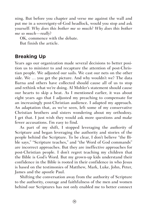ning. But before you chapter and verse me against the wall and put me in a sovereignty-of-God headlock, would you stop and ask yourself: *Why does this bother me so much? Why does this bother me so much—really*?

OK, commence with the debate. But finish the article.

### **Breaking Up**

Years ago our organization made several decisions to better position us to minister to and recapture the attention of post-Christian people. We adjusted our sails. We cast our nets on the other side. We … you get the picture. And why wouldn't we? The data Barna and others have collected should cause all of us to stop and rethink what we're doing. Al Mohler's statement should cause our hearts to skip a beat. As I mentioned earlier, it was about eight years ago that I adjusted my preaching to compensate for an increasingly post-Christian audience. I adapted my approach. An adaptation that, as we've seen, left some of my conservative Christian brothers and sisters wondering about my orthodoxy. I get that. I just wish they would ask more questions and make fewer accusations. I'm easy to find.

As part of my shift, I stopped leveraging the *authority* of Scripture and began leveraging the authority and stories of the people behind the Scripture. To be clear, I don't believe "the Bible says," "Scripture teaches," and "the Word of God commands" are incorrect approaches. But they are ineffective approaches for post-Christian people. I don't regret teaching my children that the Bible is God's Word. But my grown-up kids understand their confidence in the Bible is rooted in their confidence in who Jesus is based on the testimonies of Matthew, Mark, Luke, John, Peter, James and the apostle Paul.

Shifting the conversation away from the authority of Scripture to the authority, courage and faithfulness of the men and women behind our Scriptures has not only enabled me to better connect

 $\circled{13}$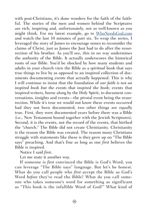with post-Christians, it's done wonders for the faith of the faithful. The stories of the men and women behind the Scriptures are rich, inspiring and, unfortunately, not as well-known as you might think. For my latest example, go to [WhoNeedsGod.com](http://whoneedsgod.com/) and watch the last 10 minutes of part six. To wrap the series, I leveraged the story of James to encourage nones to reconsider the claims of Christ, just as James the Just had to do after the resurrection of his brother. As you'll see, this in no way undermines the authority of the Bible. It actually underscores the historical roots of our Bible. You'd be shocked by how many students and adults in your church view the Bible as a *spiritual* book that says true things to live by as opposed to an inspired collection of documents documenting *events* that actually *happened*. This is why I will continue to insist that the foundation of *our faith is not an inspired book but the events that inspired the book;* events that inspired writers, borne along by the Holy Spirit, to document conversations, insights and events—the pivotal event being the resurrection. While it's true we would not know these events occurred had they not been documented, two other things are equally true. First, they were documented years before there was a Bible (i.e., New Testament bound together with the Jewish Scriptures). Second, it is the events, not the record of the events, that birthed the "church." The Bible did not create Christianity. Christianity is the reason the Bible was created. The reason many Christians struggle with statements like these is they grew up on "The Bible says" preaching. And that's fine as long as one *first* believes the Bible is inspired.

Notice I said *first*.

Let me state it another way.

If someone is *first* convinced the Bible is God's Word, you can leverage "The Bible says" language. But let's be honest. What do you call people who *first* accept the Bible as God's Word *before* they've read the Bible? What do you call someone who takes someone's word for something as significant as "This book is the infallible Word of God?" What kind of

 $(14)$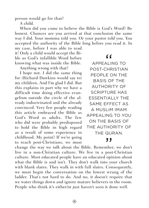person would go for that?

A child.

When did you come to believe the Bible is God's Word? Be honest. Chances are you arrived at that conclusion the same way I did. Your momma told you. Or your pastor told you. You accepted the authority of the Bible long before you read it. In

my case, before I was able to read it! Only a child would accept the Bible as God's infallible Word before knowing what was inside the Bible.

Anything wrong with that?

I hope not. I did the same thing for (Richard Dawkins would say *to*) my children. And I'm glad I did. But this explains in part why we have a difficult time doing effective evangelism outside the circle of the already indoctrinated and the already convinced. Very few people reading this article embraced the Bible as God's Word as adults. The few who did were probably predisposed to hold the Bible in high regard as a result of some experience in childhood. My point? If we're going to reach post-Christians, we must

APPEALING TO EF<br>Alim<br>Chr POST-CHRISTIAN PEOPLE ON THE BASIS OF THE AUTHORITY OF SCRIPTURE HAS ESSENTIALLY THE SAME EFFECT AS A MUSLIM IMAM APPEALING TO YOU ON THE BASIS OF THE AUTHORITY OF THE QURAN.

change the way we *talk* about the Bible. Remember, we don't live in a non-Christian culture. We live in a post-Christian culture. Most educated people have an educated opinion about what the Bible is and isn't. They don't walk into your church with blank slates. They walk in with full slates. Consequently, we must begin the conversation on the lowest wrung of the ladder. That's not hard to do. And no, it doesn't require that we water things down and ignore mature believers in the room. People who think it's either/or just haven't seen it done well.  $\frac{1}{2}$  mbers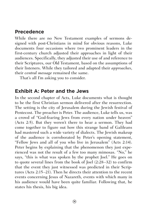### **Precedence**

While there are no New Testament examples of sermons designed with post-Christians in mind for obvious reasons, Luke documents four occasions where two prominent leaders in the first-century church adjusted their approaches in light of their audiences. Specifically, they adjusted their use of and reference to their Scriptures, our Old Testament, based on the assumptions of their listeners. While they tailored and adapted their *approaches*, their *central message* remained the same.

That's all I'm asking you to consider.

### **Exhibit A: Peter and the Jews**

In the second chapter of Acts, Luke documents what is thought to be the first Christian sermon delivered after the resurrection. The setting is the city of Jerusalem during the Jewish festival of Pentecost. The preacher is Peter. The audience, Luke tells us, was a crowd of "God-fearing Jews from every nation under heaven" (Acts 2:5). But they weren't there to hear a sermon. They had come together to figure out how this strange band of Galileans had mastered such a wide variety of dialects. The Jewish makeup of the audience is corroborated by Peter's opening statement, "Fellow Jews and all of you who live in Jerusalem" (Acts 2:14). Peter begins by explaining that the phenomenon they just experienced was not the result of a few too many mimosas. "No," he says, "this is what was spoken by the prophet Joel." He goes on to quote several lines from the book of Joel (2:28–32) to confirm that the event they just witnessed was predicted in their Scriptures (Acts 2:15–21). Then he directs their attention to the recent events concerning Jesus of Nazareth, events with which many in his audience would have been quite familiar. Following that, he states his thesis, his big idea.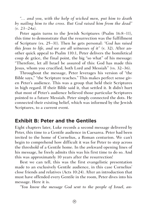*"… and you, with the help of wicked men, put him to death by nailing him to the cross. But God raised him from the dead" (v. 23–24a).*

Peter again turns to the Jewish Scriptures (Psalm 16:8-11), this time to demonstrate that the resurrection was the fulfillment of Scripture (vs. 25–31). Then he gets personal: *"God has raised this Jesus to life, and we are all witnesses of it"* (v. 32). After another quick appeal to Psalm 110:1, Peter delivers the homiletical coup de grâce, the final point, the big "so what" of his message: "Therefore, let all Israel be assured of this: God has made this Jesus, whom you crucified, both Lord and Messiah" (vs. 32–36).

Throughout the message, Peter leverages his version of "the Bible says," "the Scripture teaches." This makes perfect sense given Peter's audience. This was a group that held their Scriptures in high regard. If their Bible said it, that settled it. It didn't hurt that most of Peter's audience believed those particular Scriptures pointed to a future Messiah. Peter simply connected the dots. He connected their existing belief, which was informed by the Jewish Scriptures, to a current event.

### **Exhibit B: Peter and the Gentiles**

Eight chapters later, Luke records a second message delivered by Peter, this time to a Gentile audience in Caesarea. Peter had been invited to the home of Cornelius, a Roman centurion. We can't begin to comprehend how difficult it was for Peter to step across the threshold of a Gentile home. In the awkward opening lines of his message, he freely admits this was his first time to do so. And this was approximately 10 years after the resurrection!

Best we can tell, this was the first evangelistic presentation made to an exclusively Gentile audience, in this case Cornelius' close friends and relatives (Acts 10:24). After an introduction that must have offended every Gentile in the room, Peter dives into his message. Here it is.

*"You know the message God sent to the people of Israel, an-*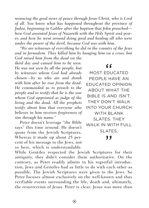*nouncing the good news of peace through Jesus Christ, who is Lord of all. You know what has happened throughout the province of Judea, beginning in Galilee after the baptism that John preached how God anointed Jesus of Nazareth with the Holy Spirit and power, and how he went around doing good and healing all who were under the power of the devil, because God was with him.*

*"We are witnesses of everything he did in the country of the Jews and in Jerusalem. They killed him by hanging him on a cross, but God raised him from the dead on the* 

*third day and caused him to be seen. He was not seen by all the people, but by witnesses whom God had already chosen—by us who ate and drank with him after he rose from the dead. He commanded us to preach to the people and to testify that he is the one whom God appointed as judge of the living and the dead. All the prophets testify about him that everyone who believes in him receives forgiveness of sins through his name."*

Peter doesn't leverage "the Bible says" this time around. He doesn't quote from the Jewish Scriptures. Whereas it made up about 25 percent of his message to the Jews, not so here, which is understandable.

MOST EDUCATED  $\begin{array}{c}\n 66 \\
 20\n \end{array}$ PEOPLE HAVE AN EDUCATED OPINION ABOUT WHAT THE BIBLE IS AND ISN'T. THEY DON'T WALK INTO YOUR CHURCH WITH BLANK SLATES THEY WALK IN WITH FULL SLATES. ,,

While Gentiles respected the Jewish Scriptures for their antiquity, they didn't consider them authoritative. On the contrary, as Peter readily admits in his regretful introduction, Jews and Gentiles had as little to do with each other as possible. The Jewish Scriptures were given to the Jews. So Peter focuses almost exclusively on the well-known and thus verifiable events surrounding the life, death and, ultimately, the resurrection of Jesus. Peter is clear; Jesus was more than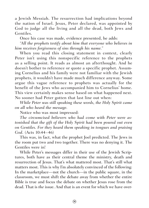a Jewish Messiah. The resurrection had implications beyond the nation of Israel. Jesus, Peter declared, was appointed by God to judge all the living and all the dead, both Jews and Gentiles.

Once his case was made, evidence presented, he adds:

*"All the prophets testify about him that everyone who believes in him receives forgiveness of sins through his name."*

When you read this closing statement in context, clearly Peter isn't using this nonspecific reference to the prophets as a selling point. It reads as almost an afterthought. And he doesn't bother to reference or quote a specific prophet. Assuming Cornelius and his family were not familiar with the Jewish prophets, it wouldn't have made much difference anyway. Some argue this vague reference to prophets was actually for the benefit of the Jews who accompanied him to Cornelius' home. This view certainly makes sense based on what happened next. No sooner had Peter gotten that last line out when:

*While Peter was still speaking these words, the Holy Spirit came on all who heard the message.* 

Notice who was most impressed:

*The circumcised believers who had come with Peter were astonished that the gift of the Holy Spirit had been poured out even on Gentiles. For they heard them speaking in tongues and praising God.* (Acts 10:44–46)

This was, in fact, what the prophet Joel predicted. The Jews in the room put two and two together. There was no denying it. The Gentiles were in!

While Peter's messages differ in their use of the Jewish Scriptures, both have as their central theme the ministry, death and resurrection of Jesus. That's what mattered most. That's still what matters most. This is why I'm absolutely convinced of the following: In the marketplace—not the church—in the public square, in the classroom, we must shift the debate away from whether the entire Bible is true and focus the debate on whether Jesus rose from the dead. That is *the* issue. And that is an event for which we have over-

 $\circledcirc$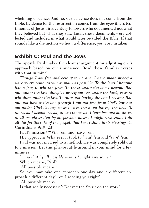whelming evidence. And no, our evidence does not come from the Bible. Evidence for the resurrection comes from the eyewitness testimonies of Jesus' first-century followers who documented not what they believed but what they saw. Later, these documents were collected and included in what would later be titled the Bible. If that sounds like a distinction without a difference, you are mistaken.

### **Exhibit C: Paul and the Jews**

The apostle Paul makes the clearest argument for adjusting one's approach based on one's audience. Read these familiar verses with that in mind.

*Though I am free and belong to no one, I have made myself a slave to everyone, to win as many as possible. To the Jews I became like a Jew, to win the Jews. To those under the law I became like one under the law (though I myself am not under the law), so as to win those under the law. To those not having the law I became like one not having the law (though I am not free from God's law but am under Christ's law), so as to win those not having the law. To the weak I became weak, to win the weak. I have become all things to all people so that by all possible means I might save some. I do all this for the sake of the gospel, that I may share in its blessings.* (1 Corinthians 9:19–23)

Paul's mission? "Win" 'em and "save" 'em.

His approach? Whatever it took to "win" 'em and "save" 'em.

Paul was not married to a method. He was completely sold out to a mission. Let this phrase rattle around in your mind for a few minutes:

*"… so that by all possible means I might save some."* 

Which means, Paul?

"All possible means."

So, you may take one approach one day and a different approach a different day? Am I reading you right?

"All possible means."

Is that really necessary? Doesn't the Spirit do the work?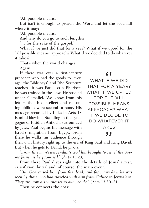"All possible means."

But isn't it enough to preach the Word and let the seed fall where it may?

"All possible means."

And why do you go to such lengths?

"… for the sake of the gospel."

What if we just did that for a year? What if we opted for the "all possible means" approach? What if we decided to do whatever it takes?

That's when the world changes.

Again.

If there was ever a first-century preacher who had the goods to leverage "the Bible says" and "the Scripture teaches," it was Paul. As a Pharisee, he was trained in the Law. He studied under Gamaliel. We know from his letters that his intellect and reasoning abilities were second to none. His message recorded by Luke in Acts 13 is mind-blowing. Standing in the synagogue of Pisidian Antioch, surrounded by Jews, Paul begins his message with Israel's migration from Egypt. From there he walks his audience through

WHAT IF WE DID  $\begin{array}{c}\n\bullet \\
\bullet \\
\bullet \\
\bullet \\
\bullet\n\end{array}$ THAT FOR A YEAR? WHAT IF WE OPTED FOR THE 'ALL POSSIBLE' MEANS APPROACH? WHAT IF WE DECIDE TO DO WHATEVER IT TAKES?

Israel's migration from Egypt. From<br>there he walks his audience through<br>their own history right up to the era of King Saul and King David.<br>But when he estate David he nivete. But when he gets to David, he pivots:

*"From this man's descendants God has brought to Israel the Savior Jesus, as he promised."* (Acts 13:23)

From there Paul dives right into the details of Jesus' arrest, crucifixion, burial and, of course, the main event:

*"But God raised him from the dead, and for many days he was seen by those who had traveled with him from Galilee to Jerusalem. They are now his witnesses to our people."* (Acts 13:30–31)

Then he connects the dots: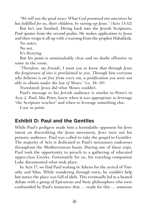*"We tell you the good news: What God promised our ancestors he has fulfilled for us, their children, by raising up Jesus."* (Acts 13:32)

But he's not finished. Diving back into the Jewish Scriptures, Paul quotes from the second psalm. He makes application to Jesus and then wraps it all up with a warning from the prophet Habakkuk.

No notes.

No net.

It's dizzying.

But his point is unmistakably clear and no doubt offensive to some in the room.

*"Therefore, my friends, I want you to know that through Jesus the forgiveness of sins is proclaimed to you. Through him everyone who believes is set free from every sin, a justification you were not able to obtain under the law of Moses."* (vs. 38–39)

Translated: Jesus did what Moses couldn't.

Paul's message to his Jewish audience is similar to Peter's in Acts 2. Paul, like Peter, knew when it was appropriate to leverage "the Scripture teaches" and when to leverage something else.

Case in point.

### **Exhibit D: Paul and the Gentiles**

While Paul's pedigree made him a formidable opponent for Jews intent on discrediting the Jesus movement, Jews were not his primary audience. Paul was called to take the gospel to Gentiles. The majority of Acts is dedicated to Paul's missionary endeavors throughout the Mediterranean basin. During one of these trips, Paul took the opportunity to preach to a gathering of educated upper-class Greeks. Fortunately for us, his traveling companion Luke documented what took place.

In Acts 17, we find Paul waiting in Athens for the arrival of Timothy and Silas. While wandering through town, he couldn't help but notice the place was full of idols. This eventually led to a heated debate with a group of Epicurean and Stoic philosophers who were confounded by Paul's insistence that … ready for this … someone

 $\circled{2}$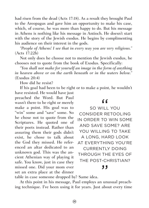had risen from the dead (Acts 17:18). As a result they brought Paul to the Areopagus and gave him an opportunity to make his case, which, of course, he was more than happy to do. But his message in Athens is nothing like his message in Antioch. He doesn't start with the story of the Jewish exodus. He begins by complimenting his audience on their interest in the gods.

*"People of Athens! I see that in every way you are very religious."* (Acts 17:22b)

Not only does he choose not to mention the Jewish exodus, he chooses not to quote from the book of Exodus. Specifically:

*"You shall not make for yourself an image in the form of anything in heaven above or on the earth beneath or in the waters below."*  (Exodus 20:4)

How did he resist?

If his goal had been to be right or to make a point, he wouldn't have resisted. He would have just

preached the Word. But Paul wasn't there to be right or merely make a point. His goal was to "win" some and "save" some. So he chose not to quote from the Scriptures. He quoted one of their poets instead. Rather than assuring them their gods didn't exist, he chose to talk about the God they missed. He referenced an altar dedicated to an unknown god. This was the ancient Athenian way of playing it safe. You know, just in case they missed one. Did your mom ever set an extra place at the dinner

SO WILL YOU  $\begin{array}{c}\n66 \\
\hline\n1111 \\
\hline\n222\n\end{array}$ CONSIDER RETOOLING IN ORDER TO WIN SOME AND SAVE SOME? ARE YOU WILLING TO TAKE A LONG, HARD LOOK AT EVERYTHING YOU'RE CURRENTLY DOING THROUGH THE EYES OF THE POST-CHRISTIAN?

### ,,

table in case someone dropped by? Same idea.

At this point in his message, Paul employs an unusual preaching technique. I've been using it for years. Just about every time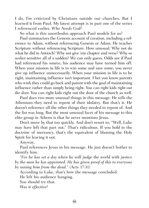I do, I'm criticized by Christians outside our churches. But I learned it from Paul. My latest attempt is in part one of the series I referenced earlier, *Who Needs God?*

So what is this unorthodox approach Paul models for us?

Paul summarizes the Genesis account of creation, including a reference to Adam, without referencing Genesis or Adam. He teaches Scripture without referencing Scripture. How unusual. Why not do what he did in Antioch? Why not give 'em chapter and verse? Why so seeker sensitive all of a sudden? We can only guess. Odds are if Paul had referenced his source, his audience may have turned him off. When your mission in life is to win some and save some, you never give up influence unnecessarily. When your mission in life is to be right, maintaining influence isn't important. I bet you know parents who wish they could go back and parent with the goal of maintaining influence rather than simply being right. You can *right* kids *right out the door*. You can right kids right out the door of the church as well.

Paul does two more unusual things in this message. He tells the Athenians they need to repent of their idolatry. But that's it. He doesn't reference all the other things they needed to repent of. And the list was long. But the most unusual facet of his message to this elite group in Athens is that he never mentions Jesus.

Don't move by that too quickly. And don't resort to, "Well, Luke may have left that part out." That's ridiculous. If you hold to the doctrine of inerrancy, that's the equivalent of blaming the Holy Spirit for leaving it out.

Anyway.

Paul references Jesus in his message. He just doesn't bother to identify him.

*"For he has set a day when he will judge the world with justice by the man he has appointed. He has given proof of this to everyone by raising him from the dead."* (Acts 17:31)

According to Luke, that's how the message concluded.

He left his audience hanging.

You should try that.

*Was it effective?*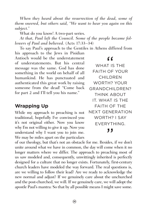*When they heard about the resurrection of the dead, some of them sneered, but others said, "We want to hear you again on this subject."*

What do you know! A two-part series.

*At that, Paul left the Council. Some of the people became followers of Paul and believed.* (Acts 17:33–34)

To say Paul's approach to the Gentiles in Athens differed from

his approach to the Jews in Pisidian Antioch would be the understatement of understatements. But his central message was the same. God has done something in the world on behalf of all humankind. He has punctuated and authenticated this great work by raising someone from the dead! "Come back for part 2 and I'll tell you his name."

### **Wrapping Up**

While my approach to preaching is not traditional, hopefully I've convinced you it's not original either. Now you know why I'm not willing to give it up. Now you understand why I want you to join me. We may be miles apart on the particulars why I m not willing to give it up. Now you<br>
understand why I want you to join me.<br>
We may be miles apart on the particulars<br>
of our theology, but that's not an obstacle for me. Besides, if we don't

WHAT IS THE "<br>T IS<br>OF FAITH OF YOUR CHILDREN WORTH? YOUR GRANDCHILDREN? THINK ABOUT IT. WHAT IS THE FAITH OF THE NEXT GENERATION WORTH? I SAY EVERYTHING.

unite around what we have in common, the day will come when it no longer matters where we differ. The approach to preaching most of us saw modeled and, consequently, unwittingly inherited is perfectly designed for a culture that no longer exists. Fortunately, first-century church leaders have modeled the way forward. The real questions is, are we willing to follow their lead? Are we ready to acknowledge the new normal and adjust? If we genuinely care about the unchurched and the post-churched, we will. If we genuinely care, we will adopt the apostle Paul's mantra: So that by all possible means I might save some.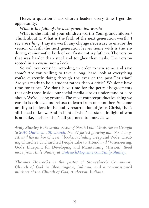Here's a question I ask church leaders every time I get the opportunity.

*What is the faith of the next generation worth?*

What is the faith of your children worth? Your grandchildren? Think about it. What is the faith of the next generation worth? I say *everything*. I say it's worth any change necessary to ensure the version of faith the next generation leaves home with is the enduring version—the faith of our first-century fathers. The version that was harder than steel and tougher than nails. The version rooted in an *event*, not a *book*.

So will you consider retooling in order to win some and save some? Are you willing to take a long, hard look at everything you're currently doing through the eyes of the post-Christian? Are you ready to be a student rather than a critic? We don't have time for tribes. We don't have time for the petty disagreements that only those inside our social media circles understand or care about. We're losing ground. The most counterproductive thing we can do is criticize and refuse to learn from one another. So come on. If you believe in the bodily resurrection of Jesus Christ, that's all I need to know. And in light of what's at stake, in light of who is at stake, perhaps that's all you need to know as well.

*Andy Stanley is the senior pastor of North Point Ministries in Georgia (a [2016 Outreach 100 church,](http://www.outreachmagazine.com/outreach-100.html) No. 37 fastest growing and No. 1 largest) and the author of several books, including* Deep and Wide: Creating Churches Unchurched People Like to Attend *and* "Visioneering: God's Blueprint for Developing and Maintaining Mission." *Read more from Andy Stanley at [OutreachMagazine.com/Andy-Stanley.](http://www.outreachmagazine.com/andy-stanley)*

*Thomas Horrocks is the pastor of Stoneybrook Community Church of God in Bloomington, Indiana, and a commissioned minister of the Church of God, Anderson, Indiana.*

 $(26)$